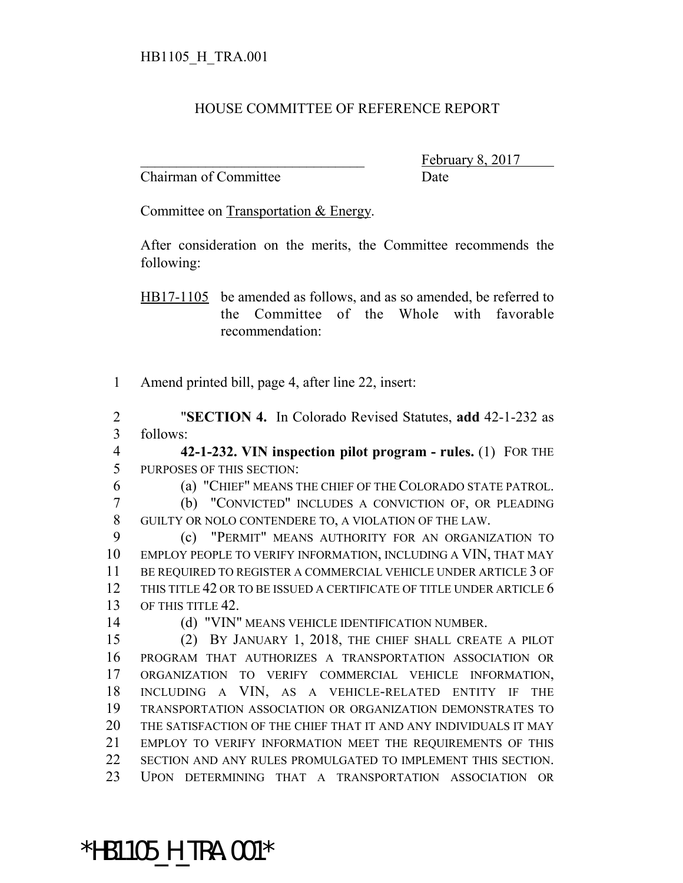## HOUSE COMMITTEE OF REFERENCE REPORT

Chairman of Committee Date

February 8,

Committee on Transportation & Energy.

After consideration on the merits, the Committee recommends the following:

HB17-1105 be amended as follows, and as so amended, be referred to the Committee of the Whole with favorable recommendation:

Amend printed bill, page 4, after line 22, insert:

 "**SECTION 4.** In Colorado Revised Statutes, **add** 42-1-232 as follows:

 **42-1-232. VIN inspection pilot program - rules.** (1) FOR THE PURPOSES OF THIS SECTION:

(a) "CHIEF" MEANS THE CHIEF OF THE COLORADO STATE PATROL.

 (b) "CONVICTED" INCLUDES A CONVICTION OF, OR PLEADING GUILTY OR NOLO CONTENDERE TO, A VIOLATION OF THE LAW.

 (c) "PERMIT" MEANS AUTHORITY FOR AN ORGANIZATION TO EMPLOY PEOPLE TO VERIFY INFORMATION, INCLUDING A VIN, THAT MAY BE REQUIRED TO REGISTER A COMMERCIAL VEHICLE UNDER ARTICLE 3 OF 12 THIS TITLE 42 OR TO BE ISSUED A CERTIFICATE OF TITLE UNDER ARTICLE 6 13 OF THIS TITLE 42.

(d) "VIN" MEANS VEHICLE IDENTIFICATION NUMBER.

 (2) BY JANUARY 1, 2018, THE CHIEF SHALL CREATE A PILOT PROGRAM THAT AUTHORIZES A TRANSPORTATION ASSOCIATION OR ORGANIZATION TO VERIFY COMMERCIAL VEHICLE INFORMATION, INCLUDING A VIN, AS A VEHICLE-RELATED ENTITY IF THE TRANSPORTATION ASSOCIATION OR ORGANIZATION DEMONSTRATES TO THE SATISFACTION OF THE CHIEF THAT IT AND ANY INDIVIDUALS IT MAY EMPLOY TO VERIFY INFORMATION MEET THE REQUIREMENTS OF THIS SECTION AND ANY RULES PROMULGATED TO IMPLEMENT THIS SECTION. UPON DETERMINING THAT A TRANSPORTATION ASSOCIATION OR

\*HB1105\_H\_TRA.001\*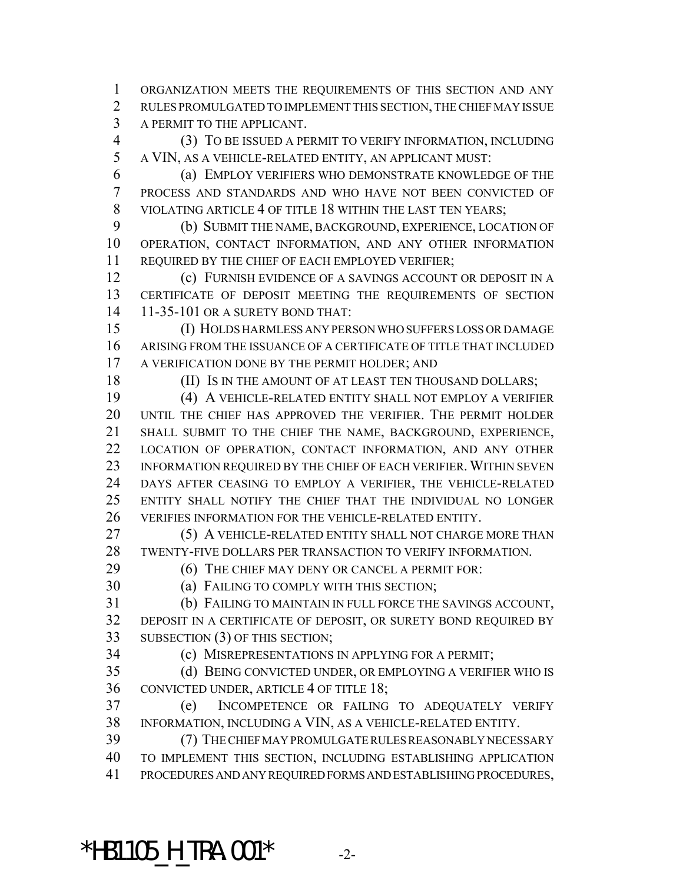ORGANIZATION MEETS THE REQUIREMENTS OF THIS SECTION AND ANY RULES PROMULGATED TO IMPLEMENT THIS SECTION, THE CHIEF MAY ISSUE A PERMIT TO THE APPLICANT.

 (3) TO BE ISSUED A PERMIT TO VERIFY INFORMATION, INCLUDING A VIN, AS A VEHICLE-RELATED ENTITY, AN APPLICANT MUST:

6 (a) EMPLOY VERIFIERS WHO DEMONSTRATE KNOWLEDGE OF THE PROCESS AND STANDARDS AND WHO HAVE NOT BEEN CONVICTED OF VIOLATING ARTICLE 4 OF TITLE 18 WITHIN THE LAST TEN YEARS;

 (b) SUBMIT THE NAME, BACKGROUND, EXPERIENCE, LOCATION OF OPERATION, CONTACT INFORMATION, AND ANY OTHER INFORMATION REQUIRED BY THE CHIEF OF EACH EMPLOYED VERIFIER;

 (c) FURNISH EVIDENCE OF A SAVINGS ACCOUNT OR DEPOSIT IN A CERTIFICATE OF DEPOSIT MEETING THE REQUIREMENTS OF SECTION 11-35-101 OR A SURETY BOND THAT:

 (I) HOLDS HARMLESS ANY PERSON WHO SUFFERS LOSS OR DAMAGE ARISING FROM THE ISSUANCE OF A CERTIFICATE OF TITLE THAT INCLUDED A VERIFICATION DONE BY THE PERMIT HOLDER; AND

18 (II) IS IN THE AMOUNT OF AT LEAST TEN THOUSAND DOLLARS;

 (4) A VEHICLE-RELATED ENTITY SHALL NOT EMPLOY A VERIFIER UNTIL THE CHIEF HAS APPROVED THE VERIFIER. THE PERMIT HOLDER SHALL SUBMIT TO THE CHIEF THE NAME, BACKGROUND, EXPERIENCE, LOCATION OF OPERATION, CONTACT INFORMATION, AND ANY OTHER INFORMATION REQUIRED BY THE CHIEF OF EACH VERIFIER. WITHIN SEVEN DAYS AFTER CEASING TO EMPLOY A VERIFIER, THE VEHICLE-RELATED ENTITY SHALL NOTIFY THE CHIEF THAT THE INDIVIDUAL NO LONGER VERIFIES INFORMATION FOR THE VEHICLE-RELATED ENTITY.

- (5) A VEHICLE-RELATED ENTITY SHALL NOT CHARGE MORE THAN TWENTY-FIVE DOLLARS PER TRANSACTION TO VERIFY INFORMATION.
- (6) THE CHIEF MAY DENY OR CANCEL A PERMIT FOR:

(a) FAILING TO COMPLY WITH THIS SECTION;

 (b) FAILING TO MAINTAIN IN FULL FORCE THE SAVINGS ACCOUNT, DEPOSIT IN A CERTIFICATE OF DEPOSIT, OR SURETY BOND REQUIRED BY SUBSECTION (3) OF THIS SECTION;

(c) MISREPRESENTATIONS IN APPLYING FOR A PERMIT;

 (d) BEING CONVICTED UNDER, OR EMPLOYING A VERIFIER WHO IS CONVICTED UNDER, ARTICLE 4 OF TITLE 18;

 (e) INCOMPETENCE OR FAILING TO ADEQUATELY VERIFY INFORMATION, INCLUDING A VIN, AS A VEHICLE-RELATED ENTITY.

 (7) THE CHIEF MAY PROMULGATE RULES REASONABLY NECESSARY TO IMPLEMENT THIS SECTION, INCLUDING ESTABLISHING APPLICATION PROCEDURES AND ANY REQUIRED FORMS AND ESTABLISHING PROCEDURES,

\*HB1105 H TRA.001\*  $-2$ -